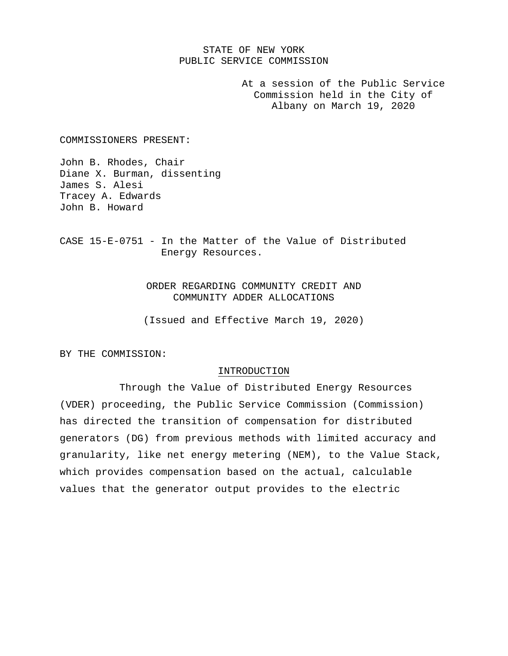# STATE OF NEW YORK PUBLIC SERVICE COMMISSION

At a session of the Public Service Commission held in the City of Albany on March 19, 2020

COMMISSIONERS PRESENT:

John B. Rhodes, Chair Diane X. Burman, dissenting James S. Alesi Tracey A. Edwards John B. Howard

CASE 15-E-0751 - In the Matter of the Value of Distributed Energy Resources.

> ORDER REGARDING COMMUNITY CREDIT AND COMMUNITY ADDER ALLOCATIONS

> (Issued and Effective March 19, 2020)

BY THE COMMISSION:

### INTRODUCTION

Through the Value of Distributed Energy Resources (VDER) proceeding, the Public Service Commission (Commission) has directed the transition of compensation for distributed generators (DG) from previous methods with limited accuracy and granularity, like net energy metering (NEM), to the Value Stack, which provides compensation based on the actual, calculable values that the generator output provides to the electric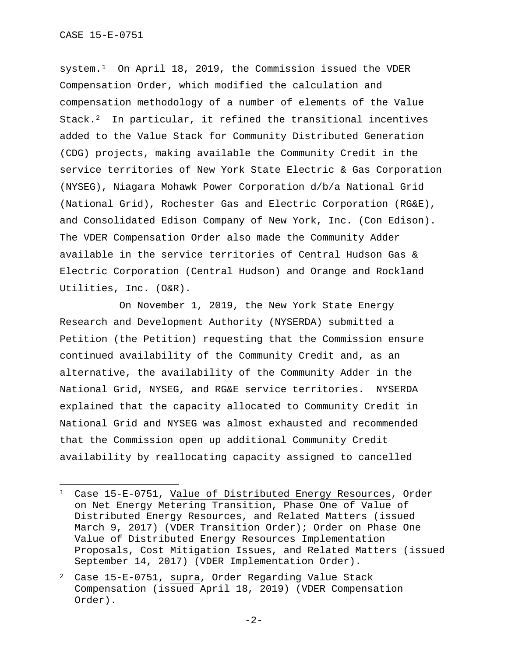system.[1](#page-1-0) On April 18, 2019, the Commission issued the VDER Compensation Order, which modified the calculation and compensation methodology of a number of elements of the Value Stack. $^2$  In particular, it refined the transitional incentives added to the Value Stack for Community Distributed Generation (CDG) projects, making available the Community Credit in the service territories of New York State Electric & Gas Corporation (NYSEG), Niagara Mohawk Power Corporation d/b/a National Grid (National Grid), Rochester Gas and Electric Corporation (RG&E), and Consolidated Edison Company of New York, Inc. (Con Edison). The VDER Compensation Order also made the Community Adder available in the service territories of Central Hudson Gas & Electric Corporation (Central Hudson) and Orange and Rockland Utilities, Inc. (O&R).

On November 1, 2019, the New York State Energy Research and Development Authority (NYSERDA) submitted a Petition (the Petition) requesting that the Commission ensure continued availability of the Community Credit and, as an alternative, the availability of the Community Adder in the National Grid, NYSEG, and RG&E service territories. NYSERDA explained that the capacity allocated to Community Credit in National Grid and NYSEG was almost exhausted and recommended that the Commission open up additional Community Credit availability by reallocating capacity assigned to cancelled

<span id="page-1-0"></span><sup>&</sup>lt;sup>1</sup> Case 15-E-0751, Value of Distributed Energy Resources, Order on Net Energy Metering Transition, Phase One of Value of Distributed Energy Resources, and Related Matters (issued March 9, 2017) (VDER Transition Order); Order on Phase One Value of Distributed Energy Resources Implementation Proposals, Cost Mitigation Issues, and Related Matters (issued September 14, 2017) (VDER Implementation Order).

<span id="page-1-1"></span><sup>2</sup> Case 15-E-0751, supra, Order Regarding Value Stack Compensation (issued April 18, 2019) (VDER Compensation Order).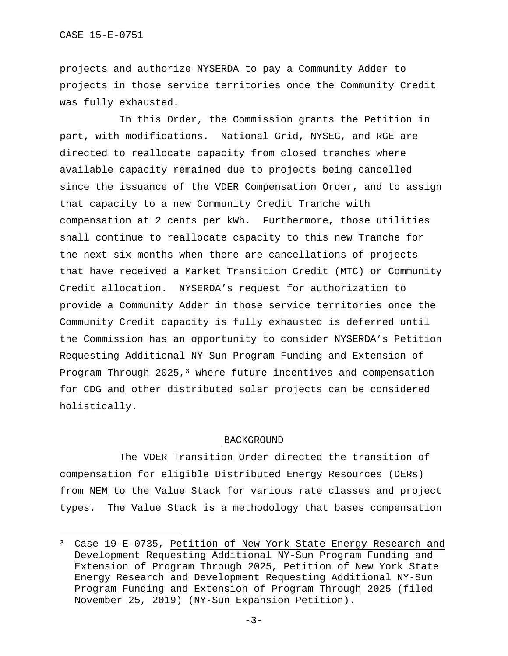projects and authorize NYSERDA to pay a Community Adder to projects in those service territories once the Community Credit was fully exhausted.

In this Order, the Commission grants the Petition in part, with modifications. National Grid, NYSEG, and RGE are directed to reallocate capacity from closed tranches where available capacity remained due to projects being cancelled since the issuance of the VDER Compensation Order, and to assign that capacity to a new Community Credit Tranche with compensation at 2 cents per kWh. Furthermore, those utilities shall continue to reallocate capacity to this new Tranche for the next six months when there are cancellations of projects that have received a Market Transition Credit (MTC) or Community Credit allocation. NYSERDA's request for authorization to provide a Community Adder in those service territories once the Community Credit capacity is fully exhausted is deferred until the Commission has an opportunity to consider NYSERDA's Petition Requesting Additional NY-Sun Program Funding and Extension of Program Through  $2025,$ <sup>[3](#page-2-0)</sup> where future incentives and compensation for CDG and other distributed solar projects can be considered holistically.

### BACKGROUND

The VDER Transition Order directed the transition of compensation for eligible Distributed Energy Resources (DERs) from NEM to the Value Stack for various rate classes and project types. The Value Stack is a methodology that bases compensation

<span id="page-2-0"></span><sup>3</sup> Case 19-E-0735, Petition of New York State Energy Research and Development Requesting Additional NY-Sun Program Funding and Extension of Program Through 2025, Petition of New York State Energy Research and Development Requesting Additional NY-Sun Program Funding and Extension of Program Through 2025 (filed November 25, 2019) (NY-Sun Expansion Petition).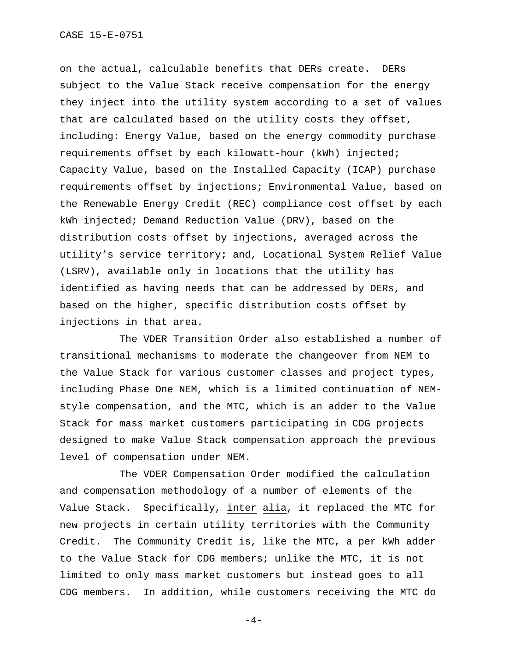on the actual, calculable benefits that DERs create. DERs subject to the Value Stack receive compensation for the energy they inject into the utility system according to a set of values that are calculated based on the utility costs they offset, including: Energy Value, based on the energy commodity purchase requirements offset by each kilowatt-hour (kWh) injected; Capacity Value, based on the Installed Capacity (ICAP) purchase requirements offset by injections; Environmental Value, based on the Renewable Energy Credit (REC) compliance cost offset by each kWh injected; Demand Reduction Value (DRV), based on the distribution costs offset by injections, averaged across the utility's service territory; and, Locational System Relief Value (LSRV), available only in locations that the utility has identified as having needs that can be addressed by DERs, and based on the higher, specific distribution costs offset by injections in that area.

The VDER Transition Order also established a number of transitional mechanisms to moderate the changeover from NEM to the Value Stack for various customer classes and project types, including Phase One NEM, which is a limited continuation of NEMstyle compensation, and the MTC, which is an adder to the Value Stack for mass market customers participating in CDG projects designed to make Value Stack compensation approach the previous level of compensation under NEM.

The VDER Compensation Order modified the calculation and compensation methodology of a number of elements of the Value Stack. Specifically, inter alia, it replaced the MTC for new projects in certain utility territories with the Community Credit. The Community Credit is, like the MTC, a per kWh adder to the Value Stack for CDG members; unlike the MTC, it is not limited to only mass market customers but instead goes to all CDG members. In addition, while customers receiving the MTC do

 $-4-$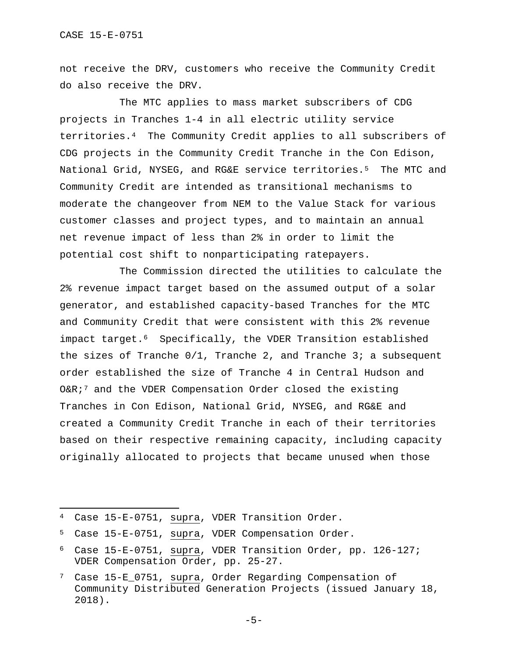not receive the DRV, customers who receive the Community Credit do also receive the DRV.

The MTC applies to mass market subscribers of CDG projects in Tranches 1-4 in all electric utility service territories.[4](#page-4-0) The Community Credit applies to all subscribers of CDG projects in the Community Credit Tranche in the Con Edison, National Grid, NYSEG, and RG&E service territories.<sup>[5](#page-4-1)</sup> The MTC and Community Credit are intended as transitional mechanisms to moderate the changeover from NEM to the Value Stack for various customer classes and project types, and to maintain an annual net revenue impact of less than 2% in order to limit the potential cost shift to nonparticipating ratepayers.

The Commission directed the utilities to calculate the 2% revenue impact target based on the assumed output of a solar generator, and established capacity-based Tranches for the MTC and Community Credit that were consistent with this 2% revenue impact target.[6](#page-4-2) Specifically, the VDER Transition established the sizes of Tranche  $0/1$ , Tranche 2, and Tranche 3; a subsequent order established the size of Tranche 4 in Central Hudson and O&R;[7](#page-4-3) and the VDER Compensation Order closed the existing Tranches in Con Edison, National Grid, NYSEG, and RG&E and created a Community Credit Tranche in each of their territories based on their respective remaining capacity, including capacity originally allocated to projects that became unused when those

<span id="page-4-0"></span><sup>4</sup> Case 15-E-0751, supra, VDER Transition Order.

<span id="page-4-1"></span><sup>5</sup> Case 15-E-0751, supra, VDER Compensation Order.

<span id="page-4-2"></span><sup>6</sup> Case 15-E-0751, supra, VDER Transition Order, pp. 126-127; VDER Compensation Order, pp. 25-27.

<span id="page-4-3"></span><sup>7</sup> Case 15-E\_0751, supra, Order Regarding Compensation of Community Distributed Generation Projects (issued January 18, 2018).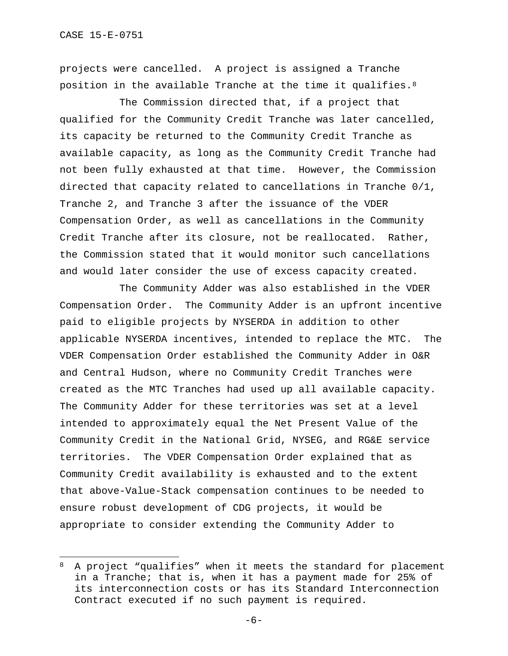projects were cancelled. A project is assigned a Tranche position in the available Tranche at the time it qualifies.[8](#page-5-0)

The Commission directed that, if a project that qualified for the Community Credit Tranche was later cancelled, its capacity be returned to the Community Credit Tranche as available capacity, as long as the Community Credit Tranche had not been fully exhausted at that time. However, the Commission directed that capacity related to cancellations in Tranche 0/1, Tranche 2, and Tranche 3 after the issuance of the VDER Compensation Order, as well as cancellations in the Community Credit Tranche after its closure, not be reallocated. Rather, the Commission stated that it would monitor such cancellations and would later consider the use of excess capacity created.

The Community Adder was also established in the VDER Compensation Order. The Community Adder is an upfront incentive paid to eligible projects by NYSERDA in addition to other applicable NYSERDA incentives, intended to replace the MTC. The VDER Compensation Order established the Community Adder in O&R and Central Hudson, where no Community Credit Tranches were created as the MTC Tranches had used up all available capacity. The Community Adder for these territories was set at a level intended to approximately equal the Net Present Value of the Community Credit in the National Grid, NYSEG, and RG&E service territories. The VDER Compensation Order explained that as Community Credit availability is exhausted and to the extent that above-Value-Stack compensation continues to be needed to ensure robust development of CDG projects, it would be appropriate to consider extending the Community Adder to

<span id="page-5-0"></span><sup>8</sup> A project "qualifies" when it meets the standard for placement in a Tranche; that is, when it has a payment made for 25% of its interconnection costs or has its Standard Interconnection Contract executed if no such payment is required.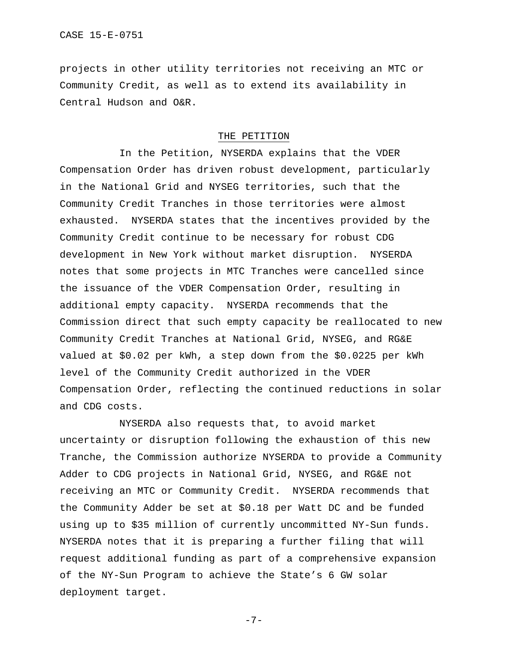projects in other utility territories not receiving an MTC or Community Credit, as well as to extend its availability in Central Hudson and O&R.

## THE PETITION

In the Petition, NYSERDA explains that the VDER Compensation Order has driven robust development, particularly in the National Grid and NYSEG territories, such that the Community Credit Tranches in those territories were almost exhausted. NYSERDA states that the incentives provided by the Community Credit continue to be necessary for robust CDG development in New York without market disruption. NYSERDA notes that some projects in MTC Tranches were cancelled since the issuance of the VDER Compensation Order, resulting in additional empty capacity. NYSERDA recommends that the Commission direct that such empty capacity be reallocated to new Community Credit Tranches at National Grid, NYSEG, and RG&E valued at \$0.02 per kWh, a step down from the \$0.0225 per kWh level of the Community Credit authorized in the VDER Compensation Order, reflecting the continued reductions in solar and CDG costs.

NYSERDA also requests that, to avoid market uncertainty or disruption following the exhaustion of this new Tranche, the Commission authorize NYSERDA to provide a Community Adder to CDG projects in National Grid, NYSEG, and RG&E not receiving an MTC or Community Credit. NYSERDA recommends that the Community Adder be set at \$0.18 per Watt DC and be funded using up to \$35 million of currently uncommitted NY-Sun funds. NYSERDA notes that it is preparing a further filing that will request additional funding as part of a comprehensive expansion of the NY-Sun Program to achieve the State's 6 GW solar deployment target.

-7-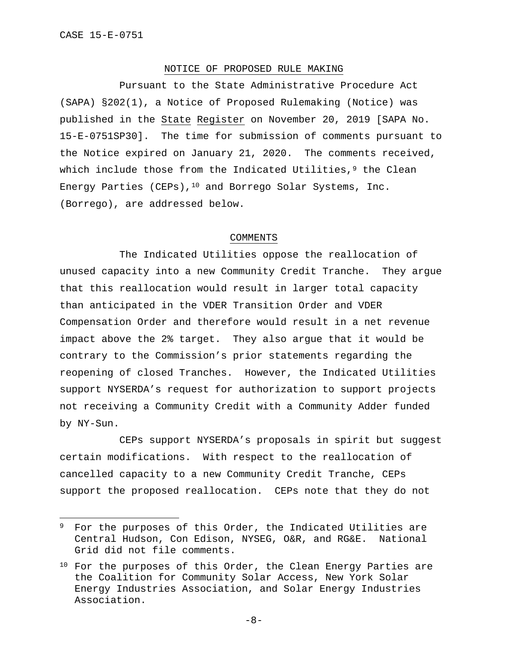## NOTICE OF PROPOSED RULE MAKING

Pursuant to the State Administrative Procedure Act (SAPA) §202(1), a Notice of Proposed Rulemaking (Notice) was published in the State Register on November 20, 2019 [SAPA No. 15-E-0751SP30]. The time for submission of comments pursuant to the Notice expired on January 21, 2020. The comments received, which include those from the Indicated Utilities, $9$  the Clean Energy Parties (CEPs),  $10$  and Borrego Solar Systems, Inc. (Borrego), are addressed below.

#### COMMENTS

The Indicated Utilities oppose the reallocation of unused capacity into a new Community Credit Tranche. They argue that this reallocation would result in larger total capacity than anticipated in the VDER Transition Order and VDER Compensation Order and therefore would result in a net revenue impact above the 2% target. They also argue that it would be contrary to the Commission's prior statements regarding the reopening of closed Tranches. However, the Indicated Utilities support NYSERDA's request for authorization to support projects not receiving a Community Credit with a Community Adder funded by NY-Sun.

CEPs support NYSERDA's proposals in spirit but suggest certain modifications. With respect to the reallocation of cancelled capacity to a new Community Credit Tranche, CEPs support the proposed reallocation. CEPs note that they do not

<span id="page-7-0"></span><sup>9</sup> For the purposes of this Order, the Indicated Utilities are Central Hudson, Con Edison, NYSEG, O&R, and RG&E. National Grid did not file comments.

<span id="page-7-1"></span><sup>&</sup>lt;sup>10</sup> For the purposes of this Order, the Clean Energy Parties are the Coalition for Community Solar Access, New York Solar Energy Industries Association, and Solar Energy Industries Association.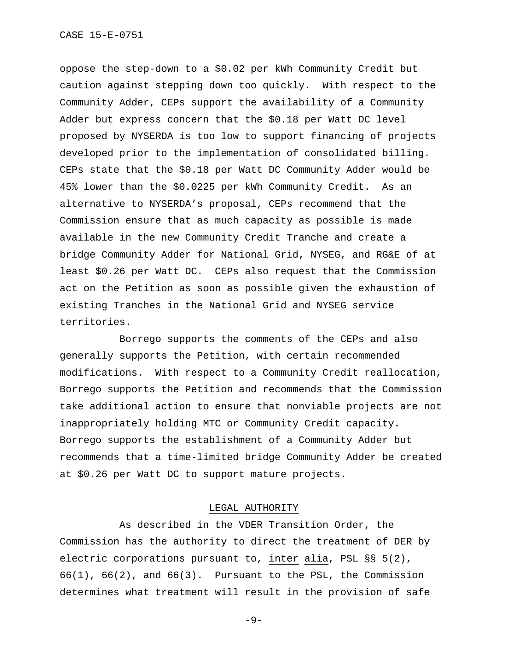oppose the step-down to a \$0.02 per kWh Community Credit but caution against stepping down too quickly. With respect to the Community Adder, CEPs support the availability of a Community Adder but express concern that the \$0.18 per Watt DC level proposed by NYSERDA is too low to support financing of projects developed prior to the implementation of consolidated billing. CEPs state that the \$0.18 per Watt DC Community Adder would be 45% lower than the \$0.0225 per kWh Community Credit. As an alternative to NYSERDA's proposal, CEPs recommend that the Commission ensure that as much capacity as possible is made available in the new Community Credit Tranche and create a bridge Community Adder for National Grid, NYSEG, and RG&E of at least \$0.26 per Watt DC. CEPs also request that the Commission act on the Petition as soon as possible given the exhaustion of existing Tranches in the National Grid and NYSEG service territories.

Borrego supports the comments of the CEPs and also generally supports the Petition, with certain recommended modifications. With respect to a Community Credit reallocation, Borrego supports the Petition and recommends that the Commission take additional action to ensure that nonviable projects are not inappropriately holding MTC or Community Credit capacity. Borrego supports the establishment of a Community Adder but recommends that a time-limited bridge Community Adder be created at \$0.26 per Watt DC to support mature projects.

### LEGAL AUTHORITY

As described in the VDER Transition Order, the Commission has the authority to direct the treatment of DER by electric corporations pursuant to, inter alia, PSL §§ 5(2),  $66(1)$ ,  $66(2)$ , and  $66(3)$ . Pursuant to the PSL, the Commission determines what treatment will result in the provision of safe

-9-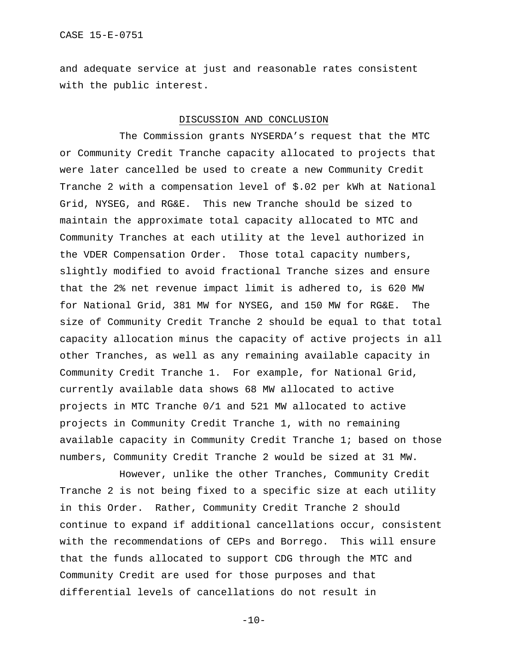and adequate service at just and reasonable rates consistent with the public interest.

## DISCUSSION AND CONCLUSION

The Commission grants NYSERDA's request that the MTC or Community Credit Tranche capacity allocated to projects that were later cancelled be used to create a new Community Credit Tranche 2 with a compensation level of \$.02 per kWh at National Grid, NYSEG, and RG&E. This new Tranche should be sized to maintain the approximate total capacity allocated to MTC and Community Tranches at each utility at the level authorized in the VDER Compensation Order. Those total capacity numbers, slightly modified to avoid fractional Tranche sizes and ensure that the 2% net revenue impact limit is adhered to, is 620 MW for National Grid, 381 MW for NYSEG, and 150 MW for RG&E. The size of Community Credit Tranche 2 should be equal to that total capacity allocation minus the capacity of active projects in all other Tranches, as well as any remaining available capacity in Community Credit Tranche 1. For example, for National Grid, currently available data shows 68 MW allocated to active projects in MTC Tranche 0/1 and 521 MW allocated to active projects in Community Credit Tranche 1, with no remaining available capacity in Community Credit Tranche 1; based on those numbers, Community Credit Tranche 2 would be sized at 31 MW.

However, unlike the other Tranches, Community Credit Tranche 2 is not being fixed to a specific size at each utility in this Order. Rather, Community Credit Tranche 2 should continue to expand if additional cancellations occur, consistent with the recommendations of CEPs and Borrego. This will ensure that the funds allocated to support CDG through the MTC and Community Credit are used for those purposes and that differential levels of cancellations do not result in

 $-10-$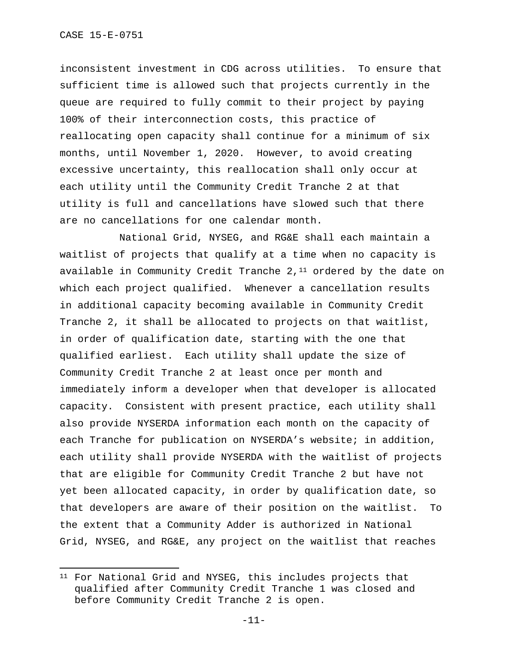inconsistent investment in CDG across utilities. To ensure that sufficient time is allowed such that projects currently in the queue are required to fully commit to their project by paying 100% of their interconnection costs, this practice of reallocating open capacity shall continue for a minimum of six months, until November 1, 2020. However, to avoid creating excessive uncertainty, this reallocation shall only occur at each utility until the Community Credit Tranche 2 at that utility is full and cancellations have slowed such that there are no cancellations for one calendar month.

National Grid, NYSEG, and RG&E shall each maintain a waitlist of projects that qualify at a time when no capacity is available in Community Credit Tranche  $2,11$  $2,11$  ordered by the date on which each project qualified. Whenever a cancellation results in additional capacity becoming available in Community Credit Tranche 2, it shall be allocated to projects on that waitlist, in order of qualification date, starting with the one that qualified earliest. Each utility shall update the size of Community Credit Tranche 2 at least once per month and immediately inform a developer when that developer is allocated capacity. Consistent with present practice, each utility shall also provide NYSERDA information each month on the capacity of each Tranche for publication on NYSERDA's website; in addition, each utility shall provide NYSERDA with the waitlist of projects that are eligible for Community Credit Tranche 2 but have not yet been allocated capacity, in order by qualification date, so that developers are aware of their position on the waitlist. To the extent that a Community Adder is authorized in National Grid, NYSEG, and RG&E, any project on the waitlist that reaches

<span id="page-10-0"></span><sup>&</sup>lt;sup>11</sup> For National Grid and NYSEG, this includes projects that qualified after Community Credit Tranche 1 was closed and before Community Credit Tranche 2 is open.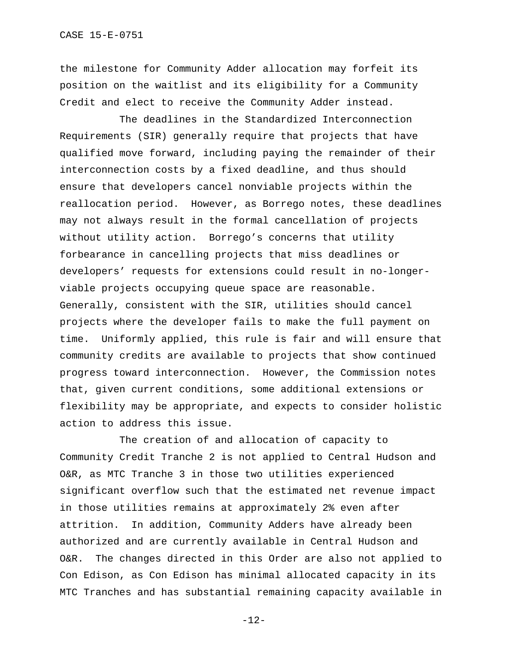the milestone for Community Adder allocation may forfeit its position on the waitlist and its eligibility for a Community Credit and elect to receive the Community Adder instead.

The deadlines in the Standardized Interconnection Requirements (SIR) generally require that projects that have qualified move forward, including paying the remainder of their interconnection costs by a fixed deadline, and thus should ensure that developers cancel nonviable projects within the reallocation period. However, as Borrego notes, these deadlines may not always result in the formal cancellation of projects without utility action. Borrego's concerns that utility forbearance in cancelling projects that miss deadlines or developers' requests for extensions could result in no-longerviable projects occupying queue space are reasonable. Generally, consistent with the SIR, utilities should cancel projects where the developer fails to make the full payment on time. Uniformly applied, this rule is fair and will ensure that community credits are available to projects that show continued progress toward interconnection. However, the Commission notes that, given current conditions, some additional extensions or flexibility may be appropriate, and expects to consider holistic action to address this issue.

The creation of and allocation of capacity to Community Credit Tranche 2 is not applied to Central Hudson and O&R, as MTC Tranche 3 in those two utilities experienced significant overflow such that the estimated net revenue impact in those utilities remains at approximately 2% even after attrition. In addition, Community Adders have already been authorized and are currently available in Central Hudson and O&R. The changes directed in this Order are also not applied to Con Edison, as Con Edison has minimal allocated capacity in its MTC Tranches and has substantial remaining capacity available in

-12-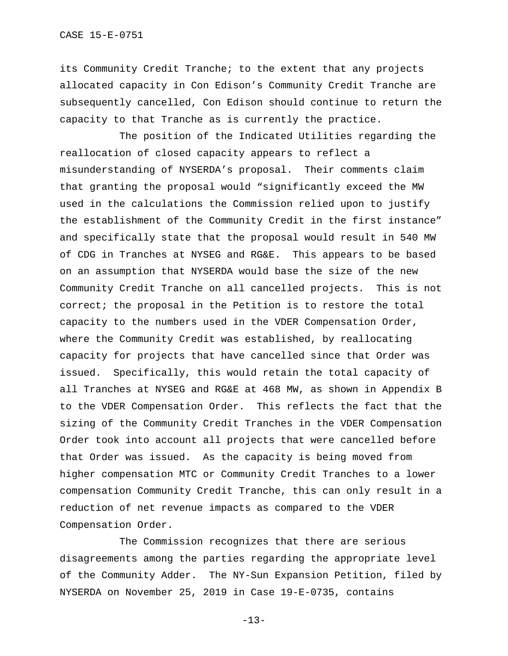its Community Credit Tranche; to the extent that any projects allocated capacity in Con Edison's Community Credit Tranche are subsequently cancelled, Con Edison should continue to return the capacity to that Tranche as is currently the practice.

The position of the Indicated Utilities regarding the reallocation of closed capacity appears to reflect a misunderstanding of NYSERDA's proposal. Their comments claim that granting the proposal would "significantly exceed the MW used in the calculations the Commission relied upon to justify the establishment of the Community Credit in the first instance" and specifically state that the proposal would result in 540 MW of CDG in Tranches at NYSEG and RG&E. This appears to be based on an assumption that NYSERDA would base the size of the new Community Credit Tranche on all cancelled projects. This is not correct; the proposal in the Petition is to restore the total capacity to the numbers used in the VDER Compensation Order, where the Community Credit was established, by reallocating capacity for projects that have cancelled since that Order was issued. Specifically, this would retain the total capacity of all Tranches at NYSEG and RG&E at 468 MW, as shown in Appendix B to the VDER Compensation Order. This reflects the fact that the sizing of the Community Credit Tranches in the VDER Compensation Order took into account all projects that were cancelled before that Order was issued. As the capacity is being moved from higher compensation MTC or Community Credit Tranches to a lower compensation Community Credit Tranche, this can only result in a reduction of net revenue impacts as compared to the VDER Compensation Order.

The Commission recognizes that there are serious disagreements among the parties regarding the appropriate level of the Community Adder. The NY-Sun Expansion Petition, filed by NYSERDA on November 25, 2019 in Case 19-E-0735, contains

-13-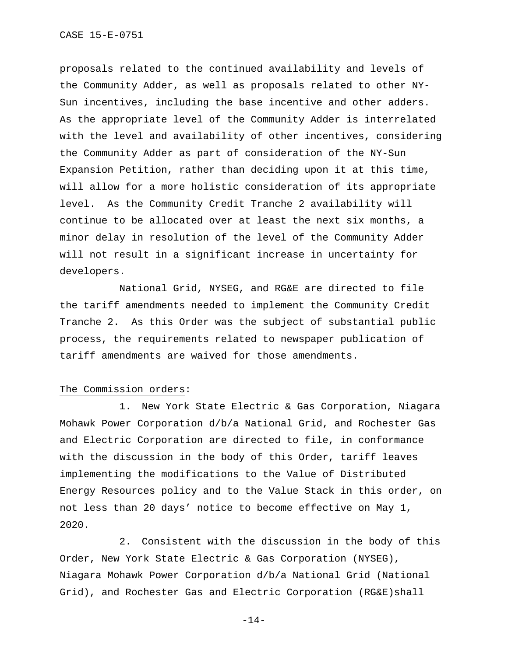proposals related to the continued availability and levels of the Community Adder, as well as proposals related to other NY-Sun incentives, including the base incentive and other adders. As the appropriate level of the Community Adder is interrelated with the level and availability of other incentives, considering the Community Adder as part of consideration of the NY-Sun Expansion Petition, rather than deciding upon it at this time, will allow for a more holistic consideration of its appropriate level. As the Community Credit Tranche 2 availability will continue to be allocated over at least the next six months, a minor delay in resolution of the level of the Community Adder will not result in a significant increase in uncertainty for developers.

National Grid, NYSEG, and RG&E are directed to file the tariff amendments needed to implement the Community Credit Tranche 2. As this Order was the subject of substantial public process, the requirements related to newspaper publication of tariff amendments are waived for those amendments.

## The Commission orders:

1. New York State Electric & Gas Corporation, Niagara Mohawk Power Corporation d/b/a National Grid, and Rochester Gas and Electric Corporation are directed to file, in conformance with the discussion in the body of this Order, tariff leaves implementing the modifications to the Value of Distributed Energy Resources policy and to the Value Stack in this order, on not less than 20 days' notice to become effective on May 1, 2020.

2. Consistent with the discussion in the body of this Order, New York State Electric & Gas Corporation (NYSEG), Niagara Mohawk Power Corporation d/b/a National Grid (National Grid), and Rochester Gas and Electric Corporation (RG&E)shall

-14-